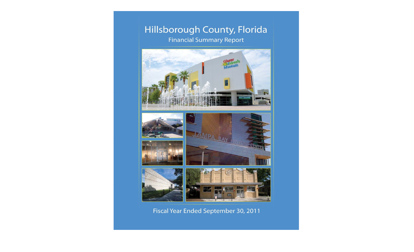### Hillsborough County, Florida **Financial Summary Report**



### Fiscal Year Ended September 30, 2011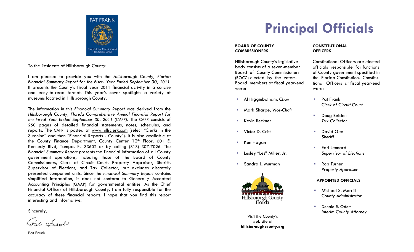

To the Residents of Hillsborough County:

I am pleased to provide you with the *Hillsborough County, Florida Financial Summary Report for the Fiscal Year Ended September 30, 2011*. It presents the County's fiscal year 2011 financial activity in a concise and easy-to-read format. This year's cover spotlights a variety of museums located in Hillsborough County.

The information in this *Financial Summary Report* was derived from the *Hillsborough County, Florida Comprehensive Annual Financial Report for the Fiscal Year Ended September 30, 2011 (CAFR)*. The CAFR consists of 250 pages of detailed financial statements, notes, schedules, and reports. The CAFR is posted at www.hillsclerk.com (select "Clerks in the Sunshine" and then "Financial Reports - County"). It is also available at the County Finance Department, County Center 12<sup>th</sup> Floor, 601 E. Kennedy Blvd, Tampa, FL 33602 or by calling (813) 307-7026. The *Financial Summary Report p*resents the financial information of all County government operations, including those of the Board of County Commissioners, Clerk of Circuit Court, Property Appraiser, Sheriff, Supervisor of Elections, and Tax Collector, but excludes discretely presented component units. Since the *Financial Summary Report* contains simplified information, it does not conform to Generally Accepted Accounting Principles (GAAP) for governmental entities. As the Chief Financial Officer of Hillsborough County, I am fully responsible for the accuracy of these financial reports. I hope that you find this report interesting and informative.

Sincerely,

Pat Frank

Pat Frank

## **Principal Officials**

#### **BOARD OF COUNTY COMMISSIONERS**

Hillsborough County's legislative body consists of a seven-member Board of County Commissioners (BOCC) elected by the voters. Board members at fiscal year-end were:

- **Al Higginbotham, Chair Pat Frank**
- Mark Sharpe, *Vice-Chair*
- 
- Victor D. Crist David Gee
- Ken Hagan
- 
- Sandra L. Murman



Visit the County's web site at**hillsboroughcounty.org** 

#### **CONSTITUTIONALOFFICERS**

Constitutional Officers are elected officials responsible for functions of County government specified in the Florida Constitution. Constitutional Officers at fiscal year-end were:

- *Clerk of Circuit Court*
- $\mathcal{L}_{\mathcal{A}}$  Doug Belden Kevin Beckner *Tax Collector* 
	- *Sheriff*
- г Earl Lennard Lesley "Les" Miller, Jr. *Supervisor of Elections* 
	- Rob Turner *Property Appraiser*

#### **APPOINTED OFFICIALS**

- Michael S. Merrill *County Administrator*
- Donald R. Odom*Interim County Attorney*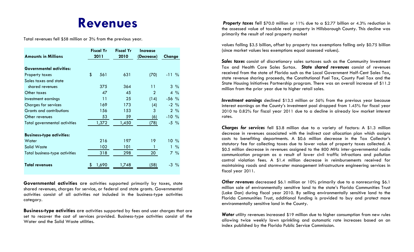### **Revenues**

Total revenues fell \$58 million or 3 % from the previous year.

|                                      | <b>Fiscal Yr</b> | <b>Fiscal Yr</b> | Increase       |                       |
|--------------------------------------|------------------|------------------|----------------|-----------------------|
| <b>Amounts in Millions</b>           | 2011             | 2010             | (Decrease)     | Change                |
|                                      |                  |                  |                |                       |
| <b>Governmental activities:</b>      |                  |                  |                |                       |
| Property taxes                       | \$<br>561        | 631              | (70)           | $-11\%$               |
| Sales taxes and state                |                  |                  |                |                       |
| shared revenues                      | 375              | 364              | 11             | $3\frac{9}{6}$        |
| Other taxes                          | 47               | 45               | $\overline{2}$ | $4\frac{9}{6}$        |
| Investment earnings                  | 11               | 25               | (14)           | $-56$ %               |
| <b>Charges for services</b>          | 169              | 173              | (4)            | $-2\frac{9}{6}$       |
| <b>Grants and contributions</b>      | 156              | 153              | 3              | $2\frac{9}{6}$        |
| Other revenues                       | 53               | 59               | (6)            | $-10%$                |
| <b>Total governmental activities</b> | 1,372            | 1,450            | (78)           | $-5\frac{9}{6}$       |
|                                      |                  |                  |                |                       |
| <b>Business-type activities:</b>     |                  |                  |                |                       |
| Water                                | 216              | 197              | 19             | $10 \frac{9}{6}$      |
| Solid Waste                          | 102              | 101              | 1              | $1\%$                 |
| Total business-type activities       | 318              | 298              | 20             | $7\%$                 |
|                                      |                  |                  |                |                       |
| Total revenues                       | 1,690            | 1,748            | (58)           | $-3$<br>$\frac{0}{0}$ |
|                                      |                  |                  |                |                       |

**Governmental activities** are activities supported primarily by taxes, state shared revenues, charges for service, or federal and state grants. Governmental activities consist of all activities not included in the business-type activities category.

**Business-type activities** are activities supported by fees and user charges that are set to recover the cost of services provided. Business-type activities consist of the Water and the Solid Waste utilities.

 *Property taxes* fell \$70.0 million or 11% due to a \$2.77 billion or 4.3% reduction in the assessed value of taxable real property in Hillsborough County. This decline was primarily the result of real property market

values falling \$3.5 billion, offset by property tax exemptions falling only \$0.75 billion (since market values less exemptions equal assessed values).

*Sales taxes* consist of discretionary sales surtaxes such as the Community Investment Tax and Health Care Sales Surtax. *State shared revenues* consist of revenues received from the state of Florida such as the Local Government Half-Cent Sales Tax, state revenue sharing proceeds, the Constitutional Fuel Tax, County Fuel Tax and the State Housing Initiatives Partnership program. There was an overall increase of \$11.2 million from the prior year due to higher retail sales.

*Investment earnings* declined \$13.5 million or 56% from the previous year because interest earnings on the County's investment pool dropped from 1.45% for fiscal year 2010 to 0.82% for fiscal year 2011 due to a decline in already low market interest rates.

*Charges for services* fell \$3.8 million due to a variety of factors: A \$1.3 million decrease in revenues associated with the indirect cost allocation plan which assigns costs to benefiting departments. A \$0.6 million decrease in the Tax Collector's statutory fee for collecting taxes due to lower value of property taxes collected. A \$0.5 million decrease in revenues assigned to the 800 MHz inter-governmental radio communication program as a result of lower civil traffic infractions and pollution control violation fees. A \$1.4 million decrease in reimbursements received for maintaining roads and stormwater management infrastructure engineering services in fiscal year 2011.

*Other revenues* decreased \$6.1 million or 10% primarily due to a nonrecurring \$6.1 million sale of environmentally sensitive land to the state's Florida Communities Trust (Lake Dan) during fiscal year 2010. By selling environmentally sensitive land to the Florida Communities Trust, additional funding is provided to buy and protect more environmentally sensitive land in the County.

*Water* utility revenues increased \$19 million due to higher consumption from new rules allowing twice weekly lawn sprinkling and automatic rate increases based on an index published by the Florida Public Service Commission.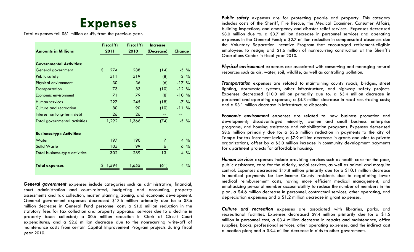### **Expenses**

Total expenses fell \$61 million or 4 % from the previous year.

|                                      | <b>Fiscal Yr</b> | <b>Fiscal Yr</b> | <b>Increase</b> |                 |
|--------------------------------------|------------------|------------------|-----------------|-----------------|
| <b>Amounts in Millions</b>           | 2011             | 2010             | (Decrease)      | Change          |
|                                      |                  |                  |                 |                 |
| <b>Governmental Activities:</b>      |                  |                  |                 |                 |
| General government                   | \$<br>274        | 288              | (14)            | $-5\frac{9}{6}$ |
| <b>Public safety</b>                 | 511              | 519              | (8)             | $-2\frac{9}{6}$ |
| <b>Physical environment</b>          | 30               | 36               | (6)             | $-17%$          |
| Transportation                       | 73               | 83               | (10)            | $-12%$          |
| Economic environment                 | 71               | 79               | (8)             | $-10\%$         |
| <b>Human services</b>                | 227              | 245              | (18)            | $-7\%$          |
| Culture and recreation               | 80               | 90               | (10)            | $-11\%$         |
| Interest on long-term debt           | 26               | 26               | --              | --              |
| <b>Total governmental activities</b> | 1,292            | 1,366            | (74)            | $-5\frac{9}{6}$ |
|                                      |                  |                  |                 |                 |
| <b>Business-type Activities:</b>     |                  |                  |                 |                 |
| Water                                | 197              | 190              | $\overline{7}$  | $4\frac{9}{6}$  |
| <b>Solid Waste</b>                   | 105              | 99               | 6               | $6\frac{9}{6}$  |
| Total business-type activities       | 302              | 289              | 13 <sup>°</sup> | $4\frac{9}{6}$  |
|                                      |                  |                  |                 |                 |
| <b>Total expenses</b>                | 1,594            | 1,655            | (61)            | $-4\frac{9}{6}$ |
|                                      |                  |                  |                 |                 |

*General government* expenses include categories such as administrative, financial, court administration and court-related, budgeting and accounting, property assessments and tax collection, master planning, zoning, and economic development. General government expenses decreased \$13.6 million primarily due to: a \$8.6 million decrease in General Fund personnel cost; a \$1.0 million reduction in the statutory fees for tax collection and property appraisal services due to a decline in property taxes collected; a \$0.6 million reduction in Clerk of Circuit Court expenditures; and a \$2.6 million decrease due to the nonrecurring write-off of maintenance costs from certain Capital Improvement Program projects during fiscal year 2010.

*Public safety* expenses are for protecting people and property. This category includes costs of the Sheriff, Fire Rescue, the Medical Examiner, Consumer Affairs, building inspections, and emergency and disaster relief services. Expenses decreased \$8.0 million due to: a \$3.7 million decrease in personnel services and operating expenses in the General Fund; a \$2.7 million reduction in compensated absences due the Voluntary Separation Incentive Program that encouraged retirement-eligible employees to resign; and \$1.6 million of nonrecurring construction at the Sheriff's Operations Center in fiscal year 2010.

*Physical environment* expenses are associated with conserving and managing natural resources such as air, water, soil, wildlife, as well as controlling pollution.

*Transportation* expenses are related to maintaining county roads, bridges, street lighting, stormwater systems, other infrastructure, and highway safety projects. Expenses decreased \$10.0 million primarily due to: a \$3.4 million decrease in personnel and operating expenses; a \$4.3 million decrease in road resurfacing costs; and a \$3.1 million decrease in infrastructure disposals.

*Economic environment* expenses are related to: new business promotion and development; disadvantaged minority, women and small business enterprise programs; and housing assistance and rehabilitation programs. Expenses decreased \$8.6 million primarily due to: a \$3.6 million reduction in payments to the city of Tampa for tax increment levies; a \$7.9 million decrease in grants and aids to private organizations; offset by a \$3.0 million increase in community development payments for apartment projects for affordable housing.

*Human services* expenses include providing services such as health care for the poor, public assistance, care for the elderly, social services, as well as animal and mosquito control. Expenses decreased \$17.8 million primarily due to: a \$10.1 million decrease in medical payments for low-income County residents due to negotiating lower medical reimbursement costs, having more efficient medical management, and emphasizing personal member accountability to reduce the number of members in the <sup>p</sup>lan; a \$4.6 million decrease in personnel, contractual services, other operating, and depreciation expenses; and a \$1.2 million decrease in grant expenses.

*Culture and recreation* expenses are associated with libraries, parks, and recreational facilities. Expenses decreased \$9.4 million primarily due to: a \$1.5 million in personnel cost; a \$3.4 million decrease in repairs and maintenance, office supplies, books, professional services, other operating expenses, and the indirect cost allocation plan; and a \$3.4 million decrease in aids to other governments.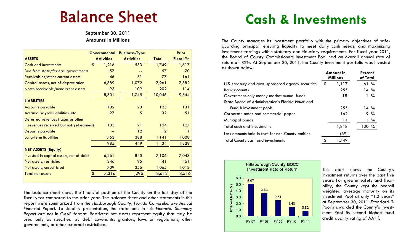# Balance Sheet

September 30, 2011 Amounts in Millions

|                                         | <b>Governmental</b> | <b>Business-Type</b> |              | <b>Prior</b>     |
|-----------------------------------------|---------------------|----------------------|--------------|------------------|
| <b>ASSETS</b>                           | <b>Activities</b>   | <b>Activities</b>    | <b>Total</b> | <b>Fiscal Yr</b> |
| <b>Cash and investments</b>             | \$<br>1,216         | 533                  | 1,749        | 1,617            |
| Due from state/federal governments      | 57                  |                      | 57           | 70               |
| Receivables/other current assets        | 46                  | 31                   | 77           | 161              |
| Capital assets, net of depreciation     | 6,889               | 1,072                | 7,961        | 7,882            |
| Notes receivable/noncurrent assets      | 93                  | 109                  | 202          | $114$            |
|                                         | 8,301               | 1,745                | 10,046       | 9,844            |
| <b>LIABILITIES</b>                      |                     |                      |              |                  |
| <b>Accounts payable</b>                 | 102                 | 23                   | 125          | 131              |
| Accrued payroll liabilities, etc.       | 27                  | 5                    | 32           | 51               |
| Deferred revenues (taxes or other       |                     |                      |              |                  |
| revenues received but not yet earned)   | 103                 | 21                   | 124          | 127              |
| Deposits payable                        |                     | 12                   | 12           | 11               |
| Long-term liabilities                   | 753                 | 388                  | 1,141        | 1,008            |
|                                         | 985                 | 449                  | 1,434        | 1,328            |
| <b>NET ASSETS (Equity)</b>              |                     |                      |              |                  |
| Invested in capital assets, net of debt | 6,261               | 845                  | 7,106        | 7,043            |
| Net assets, restricted                  | 346                 | 95                   | 441          | 461              |
| Net assets, unrestricted                | 709                 | 356                  | 1,065        | 1,012            |
| <b>Total net assets</b>                 | 7,316               | 1,296                | 8,612        | 8,516            |

The balance sheet shows the financial position of the County on the last day of the fiscal year compared to the prior year. The balance sheet and other statements in this report were summarized from the *Hillsborough County, Florida Comprehensive Annual Financial Report*. To simplify presentation, the statements in this *Financial Summary Report* are not in GAAP format. Restricted net assets represent equity that may be used only as specified by debt covenants, grantors, laws or regulations, other governments, or other external restrictions.

## **Cash & Investments**

The County manages its investment portfolio with the primary objectives of safeguarding principal, ensuring liquidity to meet daily cash needs, and maximizing investment earnings within statutory and fiduciary requirements. For fiscal year 2011, the Board of County Commissioners Investment Pool had an overall annual rate of return of .82%. At September 30, 2011, the County investment portfolio was invested as shown below.

|                                                     |    | Amount in<br><b>Millions</b> |          | Percent<br>of Total |  |
|-----------------------------------------------------|----|------------------------------|----------|---------------------|--|
| U.S. treasury and govt. sponsored agency securities | \$ | 1,117                        | 61%      |                     |  |
| <b>Bank</b> accounts                                |    | 255                          |          | $14\%$              |  |
| Government-only money market mutual funds           |    | 18                           |          | $1 \frac{9}{6}$     |  |
| State Board of Administration's Florida PRIME and   |    |                              |          |                     |  |
| Fund B investment pools                             |    | 255                          |          | $14\%$              |  |
| Corporate notes and commercial paper                |    | 162                          |          | $9\%$               |  |
| Municipal bonds                                     |    | 11                           |          | $1\%$               |  |
| Total cash and investments                          |    | 1,818                        | $100 \%$ |                     |  |
| Less amounts held in trust for non-County entities  |    | (69)                         |          |                     |  |
| <b>Total County cash and investments</b>            |    | 1.749                        |          |                     |  |



This chart shows the County's investment returns over the past five years. For greater safety and flexibility, the County kept the overall weighted average maturity on its Investment Pool at only "1.2 years" at September 30, 2011. Standard & Poor's awarded the County's Investment Pool its second highest fund credit quality rating of AA+f.